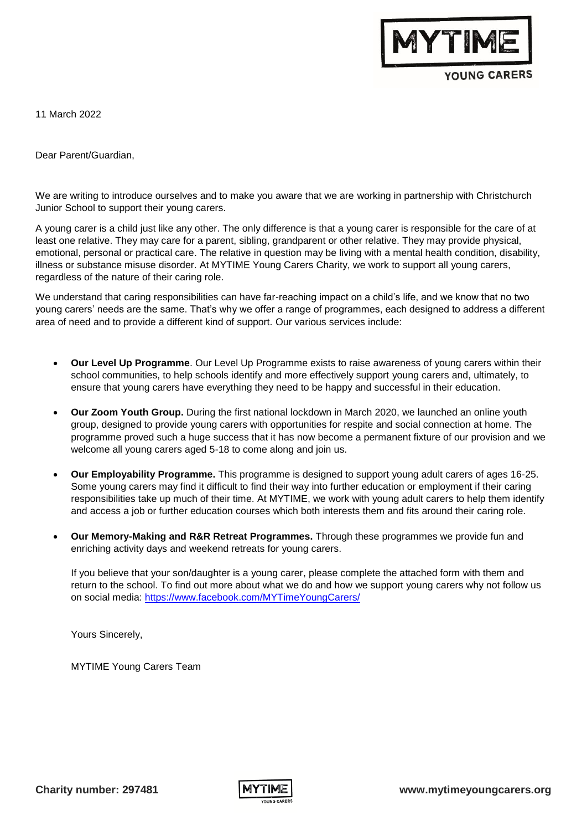

YOUNG CARERS

11 March 2022

Dear Parent/Guardian,

We are writing to introduce ourselves and to make you aware that we are working in partnership with Christchurch Junior School to support their young carers.

A young carer is a child just like any other. The only difference is that a young carer is responsible for the care of at least one relative. They may care for a parent, sibling, grandparent or other relative. They may provide physical, emotional, personal or practical care. The relative in question may be living with a mental health condition, disability, illness or substance misuse disorder. At MYTIME Young Carers Charity, we work to support all young carers, regardless of the nature of their caring role.

We understand that caring responsibilities can have far-reaching impact on a child's life, and we know that no two young carers' needs are the same. That's why we offer a range of programmes, each designed to address a different area of need and to provide a different kind of support. Our various services include:

- **Our Level Up Programme**. Our Level Up Programme exists to raise awareness of young carers within their school communities, to help schools identify and more effectively support young carers and, ultimately, to ensure that young carers have everything they need to be happy and successful in their education.
- **Our Zoom Youth Group.** During the first national lockdown in March 2020, we launched an online youth group, designed to provide young carers with opportunities for respite and social connection at home. The programme proved such a huge success that it has now become a permanent fixture of our provision and we welcome all young carers aged 5-18 to come along and join us.
- **Our Employability Programme.** This programme is designed to support young adult carers of ages 16-25. Some young carers may find it difficult to find their way into further education or employment if their caring responsibilities take up much of their time. At MYTIME, we work with young adult carers to help them identify and access a job or further education courses which both interests them and fits around their caring role.
- **Our Memory-Making and R&R Retreat Programmes.** Through these programmes we provide fun and enriching activity days and weekend retreats for young carers.

If you believe that your son/daughter is a young carer, please complete the attached form with them and return to the school. To find out more about what we do and how we support young carers why not follow us on social media:<https://www.facebook.com/MYTimeYoungCarers/>

Yours Sincerely,

MYTIME Young Carers Team